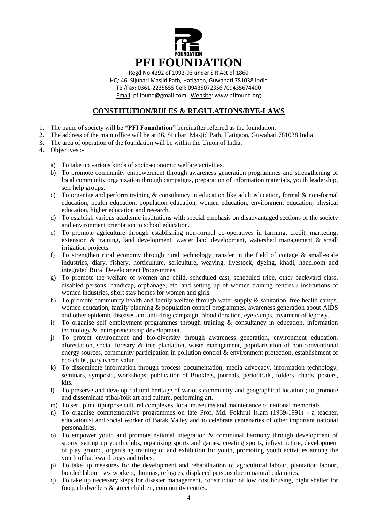

Regd No 4292 of 1992-93 under S R Act of 1860 HQ: 46, Sijubari Masjid Path, Hatigaon, Guwahati 781038 India Tel/Fax: 0361-2235655 Cell: 09435072356 /09435674400 Email: pfifound@gmail.com Website: www.pfifound.org

# **CONSTITUTION/RULES & REGULATIONS/BYE-LAWS**

- 1. The name of society will be **"PFI Foundation"** hereinafter referred as the foundation.
- 2. The address of the main office will be at 46, Sijubari Masjid Path, Hatigaon, Guwahati 781038 India
- 3. The area of operation of the foundation will be within the Union of India.
- 4. Objectives :
	- a) To take up various kinds of socio-economic welfare activities.
	- b) To promote community empowerment through awareness generation programmes and strengthening of local community organization through campaigns, preparation of information materials, youth leadership, self help groups.
	- c) To organize and perform training  $\&$  consultancy in education like adult education, formal  $\&$  non-formal education, health education, population education, women education, environment education, physical education, higher education and research.
	- d) To establish various academic institutions with special emphasis on disadvantaged sections of the society and environment orientation to school education.
	- e) To promote agriculture through establishing non-formal co-operatives in farming, credit, marketing, extension & training, land development, waster land development, watershed management & small irrigation projects.
	- f) To strengthen rural economy through rural technology transfer in the field of cottage & small-scale industries, diary, fishery, horticulture, sericulture, weaving, livestock, dyeing, khadi, handloom and integrated Rural Development Programmes.
	- g) To promote the welfare of women and child, scheduled cast, scheduled tribe, other backward class, disabled persons, handicap, orphanage, etc. and setting up of women training centres / institutions of women industries, short stay homes for women and girls.
	- h) To promote community health and family welfare through water supply  $\&$  sanitation, free health camps, women education, family planning & population control programmes, awareness generation about AIDS and other epidemic diseases and anti-drug campaign, blood donation, eye-camps, treatment of leprosy.
	- i) To organise self employment programmes through training & consultancy in education, information technology & entrepreneurship development.
	- j) To protect environment and bio-diversity through awareness generation, environment education, aforestation, social forestry & tree plantation, waste management, popularisation of non-conventional energy sources, community participation in pollution control & environment protection, establishment of eco-clubs, paryavaran vahini.
	- k) To disseminate information through process documentation, media advocacy, information technology, seminars, symposia, workshops; publication of Booklets, journals, periodicals, folders, charts, posters, kits.
	- l) To preserve and develop cultural heritage of various community and geographical location ; to promote and disseminate tribal/folk art and culture, performing art.
	- m) To set up multipurpose cultural complexes, local museums and maintenance of national memorials.
	- n) To organise commemorative programmes on late Prof. Md. Fokhrul Islam (1939-1991) a teacher, educationist and social worker of Barak Valley and to celebrate centenaries of other important national personalities.
	- o) To empower youth and promote national integration & communal harmony through development of sports, setting up youth clubs, organising sports and games, creating sports, infrastructure, development of play ground, organising training of and exhibition for youth, promoting youth activities among the youth of backward costs and tribes.
	- p) To take up measures for the development and rehabilitation of agricultural labour, plantation labour, bonded labour, sex workers, jhumias, refugees, displaced persons due to natural calamities.
	- q) To take up necessary steps for disaster management, construction of low cost housing, night shelter for footpath dwellers & street children, community centres.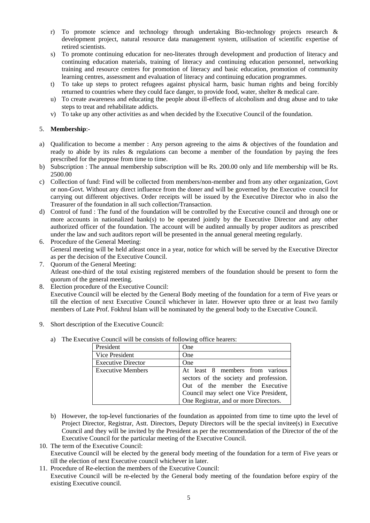- r) To promote science and technology through undertaking Bio-technology projects research & development project, natural resource data management system, utilisation of scientific expertise of retired scientists.
- s) To promote continuing education for neo-literates through development and production of literacy and continuing education materials, training of literacy and continuing education personnel, networking training and resource centres for promotion of literacy and basic education, promotion of community learning centres, assessment and evaluation of literacy and continuing education programmes.
- t) To take up steps to protect refugees against physical harm, basic human rights and being forcibly returned to countries where they could face danger, to provide food, water, shelter & medical care.
- u) To create awareness and educating the people about ill-effects of alcoholism and drug abuse and to take steps to treat and rehabilitate addicts.
- v) To take up any other activities as and when decided by the Executive Council of the foundation.

## 5. **Membership**:-

- a) Qualification to become a member : Any person agreeing to the aims & objectives of the foundation and ready to abide by its rules & regulations can become a member of the foundation by paying the fees prescribed for the purpose from time to time.
- b) Subscription : The annual membership subscription will be Rs. 200.00 only and life membership will be Rs. 2500.00
- c) Collection of fund: Find will be collected from members/non-member and from any other organization, Govt or non-Govt. Without any direct influence from the doner and will be governed by the Executive council for carrying out different objectives. Order receipts will be issued by the Executive Director who in also the Treasurer of the foundation in all such collection/Transaction.
- d) Control of fund : The fund of the foundation will be controlled by the Executive council and through one or more accounts in nationalized bank(s) to be operated jointly by the Executive Director and any other authorized officer of the foundation. The account will be audited annually by proper auditors as prescribed under the law and such auditors report will be presented in the annual general meeting regularly.
- 6. Procedure of the General Meeting: General meeting will be held atleast once in a year, notice for which will be served by the Executive Director as per the decision of the Executive Council.
- 7. Quorum of the General Meeting: Atleast one-third of the total existing registered members of the foundation should be present to form the quorum of the general meeting.
- 8. Election procedure of the Executive Council:

Executive Council will be elected by the General Body meeting of the foundation for a term of Five years or till the election of next Executive Council whichever in later. However upto three or at least two family members of Late Prof. Fokhrul Islam will be nominated by the general body to the Executive Council.

- 9. Short description of the Executive Council:
	- a) The Executive Council will be consists of following office hearers:

| President                 | One                                                                                                                                                                                             |
|---------------------------|-------------------------------------------------------------------------------------------------------------------------------------------------------------------------------------------------|
| Vice President            | <b>One</b>                                                                                                                                                                                      |
| <b>Executive Director</b> | <b>One</b>                                                                                                                                                                                      |
| <b>Executive Members</b>  | At least 8 members from various<br>sectors of the society and profession.<br>Out of the member the Executive<br>Council may select one Vice President,<br>One Registrar, and or more Directors. |

b) However, the top-level functionaries of the foundation as appointed from time to time upto the level of Project Director, Registrar, Astt. Directors, Deputy Directors will be the special invitee(s) in Executive Council and they will be invited by the President as per the recommendation of the Director of the of the Executive Council for the particular meeting of the Executive Council.

10. The term of the Executive Council:

- Executive Council will be elected by the general body meeting of the foundation for a term of Five years or till the election of next Executive council whichever in later.
- 11. Procedure of Re-election the members of the Executive Council: Executive Council will be re-elected by the General body meeting of the foundation before expiry of the existing Executive council.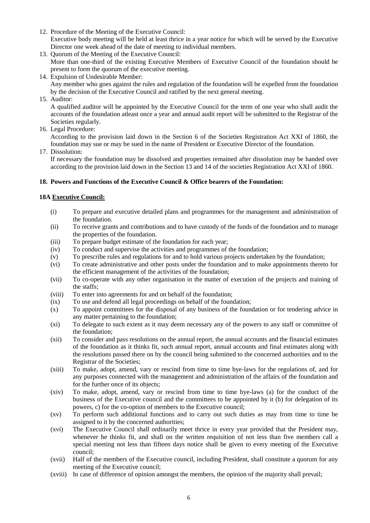- 12. Procedure of the Meeting of the Executive Council: Executive body meeting will be held at least thrice in a year notice for which will be served by the Executive Director one week ahead of the date of meeting to individual members.
- 13. Quorum of the Meeting of the Executive Council: More than one-third of the existing Executive Members of Executive Council of the foundation should be present to form the quorum of the executive meeting.
- 14. Expulsion of Undesirable Member: Any member who goes against the rules and regulation of the foundation will be expelled from the foundation by the decision of the Executive Council and ratified by the next general meeting.
- 15. Auditor:

A qualified auditor will be appointed by the Executive Council for the term of one year who shall audit the accounts of the foundation atleast once a year and annual audit report will be submitted to the Registrar of the Societies regularly.

16. Legal Procedure:

According to the provision laid down in the Section 6 of the Societies Registration Act XXI of 1860, the foundation may sue or may be sued in the name of President or Executive Director of the foundation.

17. Dissolution:

If necessary the foundation may be dissolved and properties remained after dissolution may be handed over according to the provision laid down in the Section 13 and 14 of the societies Registration Act XXI of 1860.

# **18. Powers and Functions of the Executive Council & Office bearers of the Foundation:**

### **18A Executive Council:**

- (i) To prepare and executive detailed plans and programmes for the management and administration of the foundation.
- (ii) To receive grants and contributions and to have custody of the funds of the foundation and to manage the properties of the foundation.
- (iii) To prepare budget estimate of the foundation for each year;
- (iv) To conduct and supervise the activities and programmes of the foundation;
- (v) To prescribe rules and regulations for and to hold various projects undertaken by the foundation;
- (vi) To create administrative and other posts under the foundation and to make appointments thereto for the efficient management of the activities of the foundation;
- (vii) To co-operate with any other organisation in the matter of execution of the projects and training of the staffs;
- (viii) To enter into agreements for and on behalf of the foundation;
- (ix) To use and defend all legal proceedings on behalf of the foundation;
- (x) To appoint committees for the disposal of any business of the foundation or for tendering advice in any matter pertaining to the foundation;
- (xi) To delegate to such extent as it may deem necessary any of the powers to any staff or committee of the foundation;
- (xii) To consider and pass resolutions on the annual report, the annual accounts and the financial estimates of the foundation as it thinks fit, such annual report, annual accounts and final estimates along with the resolutions passed there on by the council being submitted to the concerned authorities and to the Registrar of the Societies;
- (xiii) To make, adopt, amend, vary or rescind from time to time bye-laws for the regulations of, and for any purposes connected with the management and administration of the affairs of the foundation and for the further once of its objects;
- (xiv) To make, adopt, amend, vary or rescind from time to time bye-laws (a) for the conduct of the business of the Executive council and the committees to be appointed by it (b) for delegation of its powers, c) for the co-option of members to the Executive council;
- (xv) To perform such additional functions and to carry out such duties as may from time to time be assigned to it by the concerned authorities;
- (xvi) The Executive Council shall ordinarily meet thrice in every year provided that the President may, whenever he thinks fit, and shall on the written requisition of not less than five members call a special meeting not less than fifteen days notice shall be given to every meeting of the Executive council;
- (xvii) Half of the members of the Executive council, including President, shall constitute a quorum for any meeting of the Executive council;
- (xviii) In case of difference of opinion amongst the members, the opinion of the majority shall prevail;